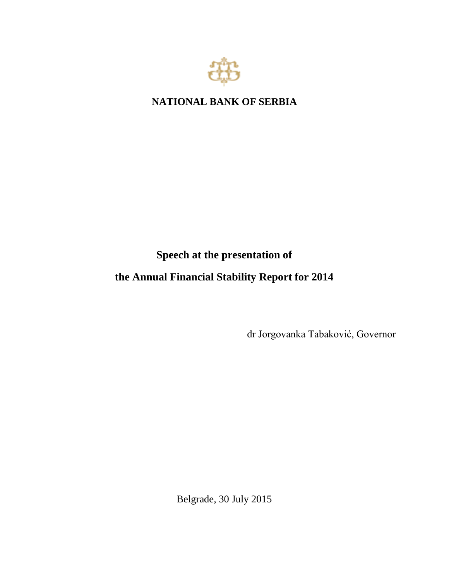

## **NATIONAL BANK OF SERBIA**

## **Speech at the presentation of**

## **the Annual Financial Stability Report for 2014**

dr Jorgovanka Tabaković, Governor

Belgrade, 30 July 2015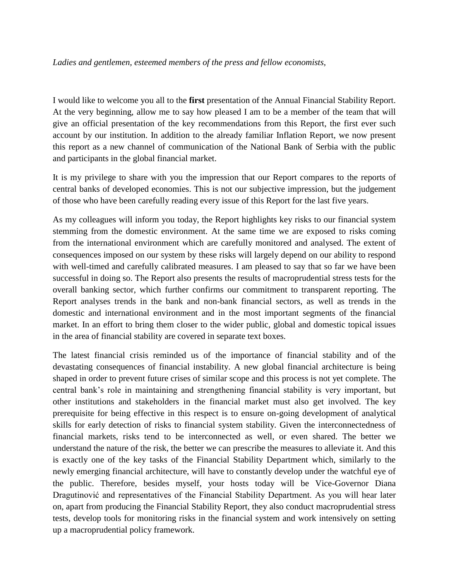## *Ladies and gentlemen, esteemed members of the press and fellow economists,*

I would like to welcome you all to the **first** presentation of the Annual Financial Stability Report. At the very beginning, allow me to say how pleased I am to be a member of the team that will give an official presentation of the key recommendations from this Report, the first ever such account by our institution. In addition to the already familiar Inflation Report, we now present this report as a new channel of communication of the National Bank of Serbia with the public and participants in the global financial market.

It is my privilege to share with you the impression that our Report compares to the reports of central banks of developed economies. This is not our subjective impression, but the judgement of those who have been carefully reading every issue of this Report for the last five years.

As my colleagues will inform you today, the Report highlights key risks to our financial system stemming from the domestic environment. At the same time we are exposed to risks coming from the international environment which are carefully monitored and analysed. The extent of consequences imposed on our system by these risks will largely depend on our ability to respond with well-timed and carefully calibrated measures. I am pleased to say that so far we have been successful in doing so. The Report also presents the results of macroprudential stress tests for the overall banking sector, which further confirms our commitment to transparent reporting. The Report analyses trends in the bank and non-bank financial sectors, as well as trends in the domestic and international environment and in the most important segments of the financial market. In an effort to bring them closer to the wider public, global and domestic topical issues in the area of financial stability are covered in separate text boxes.

The latest financial crisis reminded us of the importance of financial stability and of the devastating consequences of financial instability. A new global financial architecture is being shaped in order to prevent future crises of similar scope and this process is not yet complete. The central bank's role in maintaining and strengthening financial stability is very important, but other institutions and stakeholders in the financial market must also get involved. The key prerequisite for being effective in this respect is to ensure on-going development of analytical skills for early detection of risks to financial system stability. Given the interconnectedness of financial markets, risks tend to be interconnected as well, or even shared. The better we understand the nature of the risk, the better we can prescribe the measures to alleviate it. And this is exactly one of the key tasks of the Financial Stability Department which, similarly to the newly emerging financial architecture, will have to constantly develop under the watchful eye of the public. Therefore, besides myself, your hosts today will be Vice-Governor Diana Dragutinović and representatives of the Financial Stability Department. As you will hear later on, apart from producing the Financial Stability Report, they also conduct macroprudential stress tests, develop tools for monitoring risks in the financial system and work intensively on setting up a macroprudential policy framework.